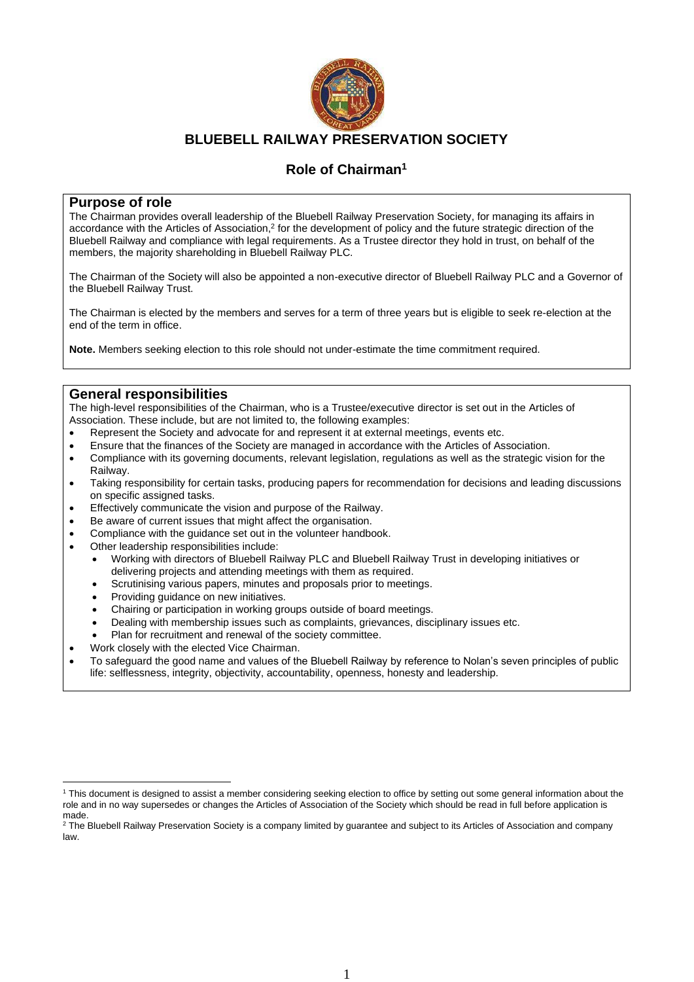

## **BLUEBELL RAILWAY PRESERVATION SOCIETY**

# **Role of Chairman<sup>1</sup>**

#### **Purpose of role**

The Chairman provides overall leadership of the Bluebell Railway Preservation Society, for managing its affairs in accordance with the Articles of Association,<sup>2</sup> for the development of policy and the future strategic direction of the Bluebell Railway and compliance with legal requirements. As a Trustee director they hold in trust, on behalf of the members, the majority shareholding in Bluebell Railway PLC.

The Chairman of the Society will also be appointed a non-executive director of Bluebell Railway PLC and a Governor of the Bluebell Railway Trust.

The Chairman is elected by the members and serves for a term of three years but is eligible to seek re-election at the end of the term in office.

**Note.** Members seeking election to this role should not under-estimate the time commitment required.

### **General responsibilities**

The high-level responsibilities of the Chairman, who is a Trustee/executive director is set out in the Articles of Association. These include, but are not limited to, the following examples:

- Represent the Society and advocate for and represent it at external meetings, events etc.
- Ensure that the finances of the Society are managed in accordance with the Articles of Association.
- Compliance with its governing documents, relevant legislation, regulations as well as the strategic vision for the Railway.
- Taking responsibility for certain tasks, producing papers for recommendation for decisions and leading discussions on specific assigned tasks.
- Effectively communicate the vision and purpose of the Railway.
- Be aware of current issues that might affect the organisation.
- Compliance with the guidance set out in the volunteer handbook.
- Other leadership responsibilities include:
	- Working with directors of Bluebell Railway PLC and Bluebell Railway Trust in developing initiatives or delivering projects and attending meetings with them as required.
	- Scrutinising various papers, minutes and proposals prior to meetings.
	- Providing guidance on new initiatives.
	- Chairing or participation in working groups outside of board meetings.
	- Dealing with membership issues such as complaints, grievances, disciplinary issues etc.
	- Plan for recruitment and renewal of the society committee.
	- Work closely with the elected Vice Chairman.
- To safeguard the good name and values of the Bluebell Railway by reference to Nolan's seven principles of public life: selflessness, integrity, objectivity, accountability, openness, honesty and leadership.

<sup>1</sup> This document is designed to assist a member considering seeking election to office by setting out some general information about the role and in no way supersedes or changes the Articles of Association of the Society which should be read in full before application is made.

<sup>&</sup>lt;sup>2</sup> The Bluebell Railway Preservation Society is a company limited by guarantee and subject to its Articles of Association and company law.